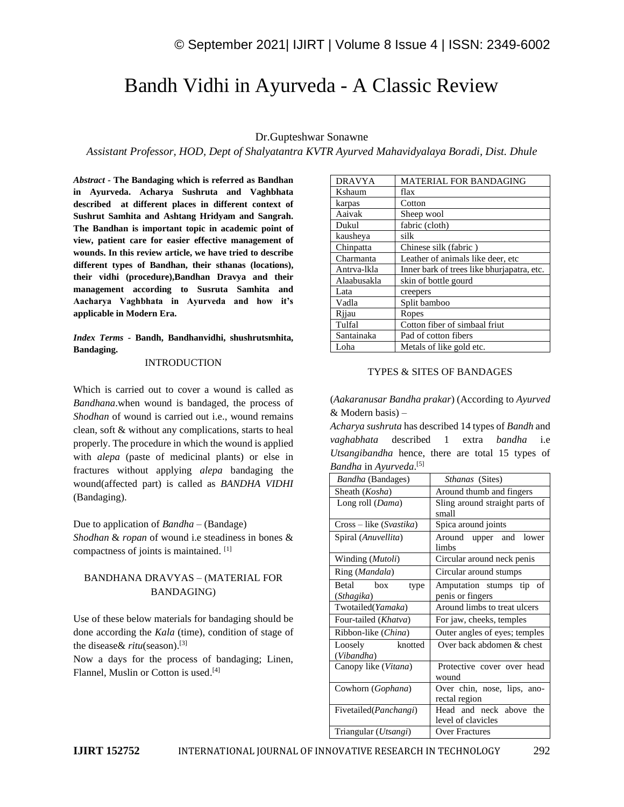# Bandh Vidhi in Ayurveda - A Classic Review

# Dr.Gupteshwar Sonawne

*Assistant Professor, HOD, Dept of Shalyatantra KVTR Ayurved Mahavidyalaya Boradi, Dist. Dhule*

*Abstract -* **The Bandaging which is referred as Bandhan in Ayurveda. Acharya Sushruta and Vaghbhata described at different places in different context of Sushrut Samhita and Ashtang Hridyam and Sangrah. The Bandhan is important topic in academic point of view, patient care for easier effective management of wounds. In this review article, we have tried to describe different types of Bandhan, their sthanas (locations), their vidhi (procedure),Bandhan Dravya and their management according to Susruta Samhita and Aacharya Vaghbhata in Ayurveda and how it's applicable in Modern Era.**

## *Index Terms -* **Bandh, Bandhanvidhi, shushrutsmhita, Bandaging.**

#### INTRODUCTION

Which is carried out to cover a wound is called as *Bandhana*.when wound is bandaged, the process of *Shodhan* of wound is carried out i.e., wound remains clean, soft & without any complications, starts to heal properly. The procedure in which the wound is applied with *alepa* (paste of medicinal plants) or else in fractures without applying *alepa* bandaging the wound(affected part) is called as *BANDHA VIDHI* (Bandaging).

#### Due to application of *Bandha* – (Bandage)

*Shodhan* & *ropan* of wound i.e steadiness in bones & compactness of joints is maintained. [1]

# BANDHANA DRAVYAS – (MATERIAL FOR BANDAGING)

Use of these below materials for bandaging should be done according the *Kala* (time), condition of stage of the disease& *ritu*(season).[3]

Now a days for the process of bandaging; Linen, Flannel, Muslin or Cotton is used. [4]

| DRAVYA<br>MATERIAL FOR BANDAGING<br>Kshaum<br>flax<br>Cotton<br>karpas<br>Aaivak<br>Sheep wool<br>Dukul<br>fabric (cloth)<br>silk<br>kausheya<br>Chinpatta<br>Chinese silk (fabric)<br>Charmanta<br>Leather of animals like deer, etc.<br>Antrva-lkla<br>Inner bark of trees like bhurjapatra, etc.<br>Alaabusakla<br>skin of bottle gourd<br>Lata<br>creepers |
|----------------------------------------------------------------------------------------------------------------------------------------------------------------------------------------------------------------------------------------------------------------------------------------------------------------------------------------------------------------|
|                                                                                                                                                                                                                                                                                                                                                                |
|                                                                                                                                                                                                                                                                                                                                                                |
|                                                                                                                                                                                                                                                                                                                                                                |
|                                                                                                                                                                                                                                                                                                                                                                |
|                                                                                                                                                                                                                                                                                                                                                                |
|                                                                                                                                                                                                                                                                                                                                                                |
|                                                                                                                                                                                                                                                                                                                                                                |
|                                                                                                                                                                                                                                                                                                                                                                |
|                                                                                                                                                                                                                                                                                                                                                                |
|                                                                                                                                                                                                                                                                                                                                                                |
|                                                                                                                                                                                                                                                                                                                                                                |
| Split bamboo<br>Vadla                                                                                                                                                                                                                                                                                                                                          |
| Rijau<br>Ropes                                                                                                                                                                                                                                                                                                                                                 |
| Tulfal<br>Cotton fiber of simbaal friut                                                                                                                                                                                                                                                                                                                        |
| Pad of cotton fibers<br>Santainaka                                                                                                                                                                                                                                                                                                                             |
| Loha<br>Metals of like gold etc.                                                                                                                                                                                                                                                                                                                               |

## TYPES & SITES OF BANDAGES

(*Aakaranusar Bandha prakar*) (According to *Ayurved* & Modern basis) –

*Acharya sushruta* has described 14 types of *Bandh* and *vaghabhata* described 1 extra *bandha* i.e *Utsangibandha* hence, there are total 15 types of *Bandha* in *Ayurveda*. [5]

| <i>Bandha</i> (Bandages)        | Sthanas (Sites)                    |
|---------------------------------|------------------------------------|
| Sheath (Kosha)                  | Around thumb and fingers           |
| Long roll (Dama)                | Sling around straight parts of     |
|                                 | small                              |
| $Cross - like (Svastika)$       | Spica around joints                |
| Spiral (Anuvellita)             | Around upper and<br>lower<br>limbs |
| Winding ( <i>Mutoli</i> )       | Circular around neck penis         |
| Ring (Mandala)                  | Circular around stumps             |
| Betal box<br>type               | Amputation stumps tip of           |
| (Sthagika)                      | penis or fingers                   |
| Twotailed(Yamaka)               | Around limbs to treat ulcers       |
| Four-tailed (Khatva)            | For jaw, cheeks, temples           |
| Ribbon-like (China)             | Outer angles of eyes; temples      |
| knotted<br>Loosely              | Over back abdomen & chest          |
| (Vibandha)                      |                                    |
| Canopy like (Vitana)            | Protective cover over head         |
|                                 | wound                              |
| Cowhorn ( <i>Gophana</i> )      | Over chin, nose, lips, ano-        |
|                                 | rectal region                      |
| Fivetailed ( <i>Panchangi</i> ) | Head and neck above the            |
|                                 | level of clavicles                 |
| Triangular (Utsangi)            | <b>Over Fractures</b>              |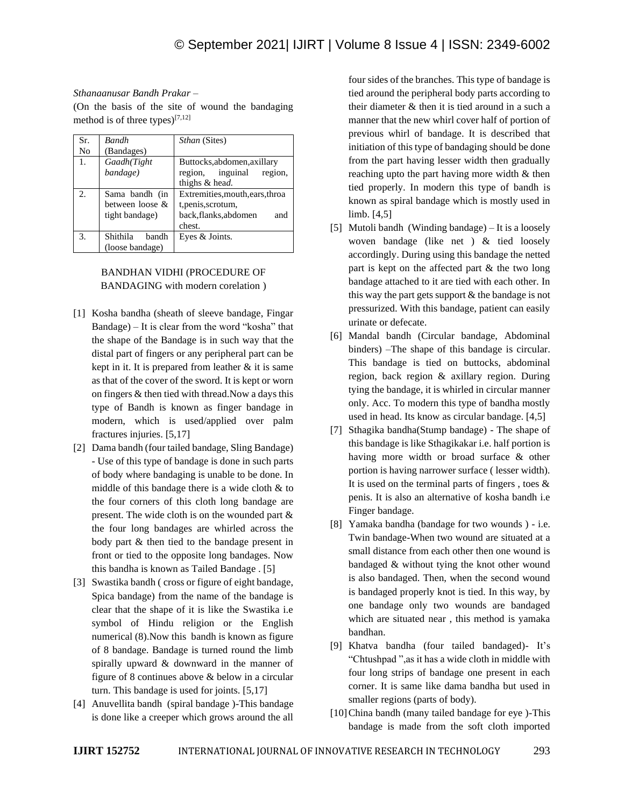# *Sthanaanusar Bandh Prakar –*

(On the basis of the site of wound the bandaging method is of three types) $[7,12]$ 

| Sr. | <b>Bandh</b>      | <i>Sthan</i> (Sites)            |
|-----|-------------------|---------------------------------|
| No  | (Bandages)        |                                 |
| 1.  | Gaadh(Tight       | Buttocks, abdomen, axillary     |
|     | bandage)          | inguinal<br>region,<br>region.  |
|     |                   | thighs & head.                  |
|     | Sama bandh (in    | Extremities, mouth, ears, throa |
|     | between loose &   | t, penis, scrotum,              |
|     | tight bandage)    | back,flanks,abdomen<br>and      |
|     |                   | chest.                          |
| 3.  | Shithila<br>bandh | Eyes & Joints.                  |
|     | (loose bandage)   |                                 |

# BANDHAN VIDHI (PROCEDURE OF BANDAGING with modern corelation )

- [1] Kosha bandha (sheath of sleeve bandage, Fingar Bandage) – It is clear from the word "kosha" that the shape of the Bandage is in such way that the distal part of fingers or any peripheral part can be kept in it. It is prepared from leather  $\&$  it is same as that of the cover of the sword. It is kept or worn on fingers & then tied with thread.Now a days this type of Bandh is known as finger bandage in modern, which is used/applied over palm fractures injuries. [5,17]
- [2] Dama bandh (four tailed bandage, Sling Bandage) - Use of this type of bandage is done in such parts of body where bandaging is unable to be done. In middle of this bandage there is a wide cloth & to the four corners of this cloth long bandage are present. The wide cloth is on the wounded part & the four long bandages are whirled across the body part & then tied to the bandage present in front or tied to the opposite long bandages. Now this bandha is known as Tailed Bandage . [5]
- [3] Swastika bandh ( cross or figure of eight bandage, Spica bandage) from the name of the bandage is clear that the shape of it is like the Swastika i.e symbol of Hindu religion or the English numerical (8).Now this bandh is known as figure of 8 bandage. Bandage is turned round the limb spirally upward & downward in the manner of figure of 8 continues above & below in a circular turn. This bandage is used for joints. [5,17]
- [4] Anuvellita bandh (spiral bandage )-This bandage is done like a creeper which grows around the all

four sides of the branches. This type of bandage is tied around the peripheral body parts according to their diameter & then it is tied around in a such a manner that the new whirl cover half of portion of previous whirl of bandage. It is described that initiation of this type of bandaging should be done from the part having lesser width then gradually reaching upto the part having more width & then tied properly. In modern this type of bandh is known as spiral bandage which is mostly used in limb. [4,5]

- [5] Mutoli bandh (Winding bandage) It is a loosely woven bandage (like net ) & tied loosely accordingly. During using this bandage the netted part is kept on the affected part & the two long bandage attached to it are tied with each other. In this way the part gets support & the bandage is not pressurized. With this bandage, patient can easily urinate or defecate.
- [6] Mandal bandh (Circular bandage, Abdominal binders) –The shape of this bandage is circular. This bandage is tied on buttocks, abdominal region, back region & axillary region. During tying the bandage, it is whirled in circular manner only. Acc. To modern this type of bandha mostly used in head. Its know as circular bandage. [4,5]
- [7] Sthagika bandha(Stump bandage) The shape of this bandage is like Sthagikakar i.e. half portion is having more width or broad surface & other portion is having narrower surface ( lesser width). It is used on the terminal parts of fingers, toes  $\&$ penis. It is also an alternative of kosha bandh i.e Finger bandage.
- [8] Yamaka bandha (bandage for two wounds ) i.e. Twin bandage-When two wound are situated at a small distance from each other then one wound is bandaged & without tying the knot other wound is also bandaged. Then, when the second wound is bandaged properly knot is tied. In this way, by one bandage only two wounds are bandaged which are situated near , this method is yamaka bandhan.
- [9] Khatva bandha (four tailed bandaged)- It's "Chtushpad ",as it has a wide cloth in middle with four long strips of bandage one present in each corner. It is same like dama bandha but used in smaller regions (parts of body).
- [10] China bandh (many tailed bandage for eye)-This bandage is made from the soft cloth imported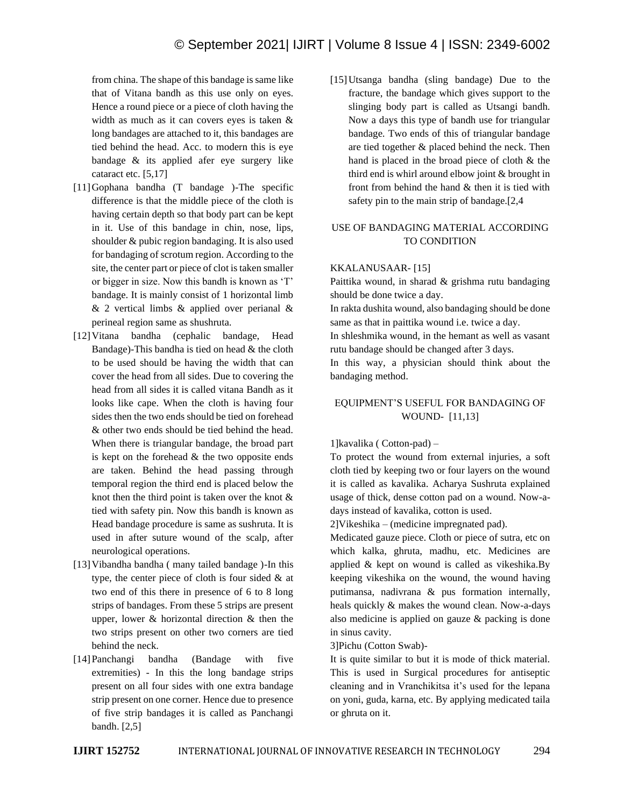from china. The shape of this bandage is same like that of Vitana bandh as this use only on eyes. Hence a round piece or a piece of cloth having the width as much as it can covers eyes is taken & long bandages are attached to it, this bandages are tied behind the head. Acc. to modern this is eye bandage & its applied afer eye surgery like cataract etc. [5,17]

- [11]Gophana bandha (T bandage )-The specific difference is that the middle piece of the cloth is having certain depth so that body part can be kept in it. Use of this bandage in chin, nose, lips, shoulder & pubic region bandaging. It is also used for bandaging of scrotum region. According to the site, the center part or piece of clot is taken smaller or bigger in size. Now this bandh is known as 'T' bandage. It is mainly consist of 1 horizontal limb & 2 vertical limbs & applied over perianal & perineal region same as shushruta.
- [12]Vitana bandha (cephalic bandage, Head Bandage)-This bandha is tied on head & the cloth to be used should be having the width that can cover the head from all sides. Due to covering the head from all sides it is called vitana Bandh as it looks like cape. When the cloth is having four sides then the two ends should be tied on forehead & other two ends should be tied behind the head. When there is triangular bandage, the broad part is kept on the forehead  $\&$  the two opposite ends are taken. Behind the head passing through temporal region the third end is placed below the knot then the third point is taken over the knot  $\&$ tied with safety pin. Now this bandh is known as Head bandage procedure is same as sushruta. It is used in after suture wound of the scalp, after neurological operations.
- [13] Vibandha bandha ( many tailed bandage )-In this type, the center piece of cloth is four sided & at two end of this there in presence of 6 to 8 long strips of bandages. From these 5 strips are present upper, lower & horizontal direction & then the two strips present on other two corners are tied behind the neck.
- [14]Panchangi bandha (Bandage with five extremities) - In this the long bandage strips present on all four sides with one extra bandage strip present on one corner. Hence due to presence of five strip bandages it is called as Panchangi bandh. [2,5]

[15]Utsanga bandha (sling bandage) Due to the fracture, the bandage which gives support to the slinging body part is called as Utsangi bandh. Now a days this type of bandh use for triangular bandage. Two ends of this of triangular bandage are tied together & placed behind the neck. Then hand is placed in the broad piece of cloth & the third end is whirl around elbow joint & brought in front from behind the hand & then it is tied with safety pin to the main strip of bandage.[2,4

# USE OF BANDAGING MATERIAL ACCORDING TO CONDITION

#### KKALANUSAAR- [15]

Paittika wound, in sharad & grishma rutu bandaging should be done twice a day.

In rakta dushita wound, also bandaging should be done same as that in paittika wound i.e. twice a day.

In shleshmika wound, in the hemant as well as vasant rutu bandage should be changed after 3 days.

In this way, a physician should think about the bandaging method.

# EQUIPMENT'S USEFUL FOR BANDAGING OF WOUND- [11,13]

#### 1]kavalika ( Cotton-pad) –

To protect the wound from external injuries, a soft cloth tied by keeping two or four layers on the wound it is called as kavalika. Acharya Sushruta explained usage of thick, dense cotton pad on a wound. Now-adays instead of kavalika, cotton is used.

2]Vikeshika – (medicine impregnated pad).

Medicated gauze piece. Cloth or piece of sutra, etc on which kalka, ghruta, madhu, etc. Medicines are applied & kept on wound is called as vikeshika.By keeping vikeshika on the wound, the wound having putimansa, nadivrana & pus formation internally, heals quickly & makes the wound clean. Now-a-days also medicine is applied on gauze & packing is done in sinus cavity.

3]Pichu (Cotton Swab)-

It is quite similar to but it is mode of thick material. This is used in Surgical procedures for antiseptic cleaning and in Vranchikitsa it's used for the lepana on yoni, guda, karna, etc. By applying medicated taila or ghruta on it.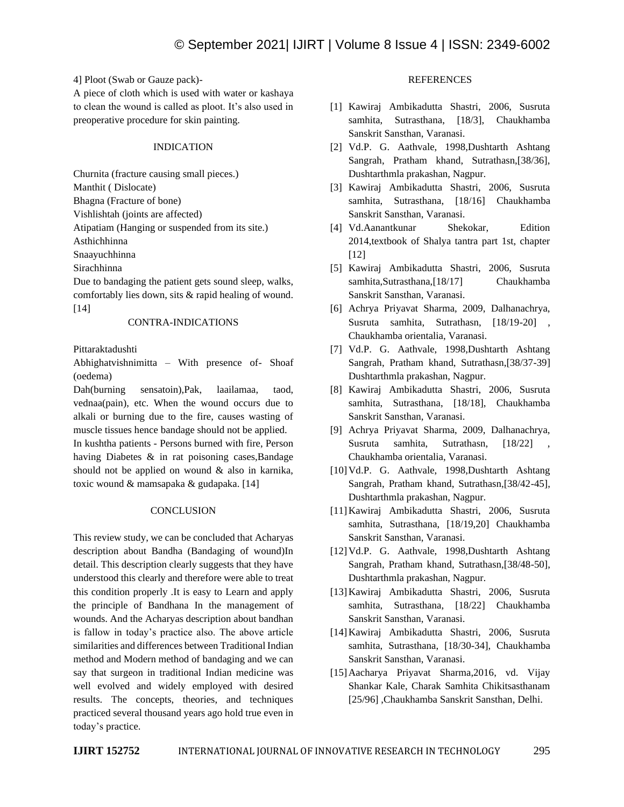4] Ploot (Swab or Gauze pack)-

A piece of cloth which is used with water or kashaya to clean the wound is called as ploot. It's also used in preoperative procedure for skin painting.

## INDICATION

Churnita (fracture causing small pieces.)

Manthit ( Dislocate)

Bhagna (Fracture of bone)

Vishlishtah (joints are affected)

Atipatiam (Hanging or suspended from its site.)

Asthichhinna

Snaayuchhinna

Sirachhinna

Due to bandaging the patient gets sound sleep, walks, comfortably lies down, sits & rapid healing of wound. [14]

# CONTRA-INDICATIONS

Pittaraktadushti

Abhighatvishnimitta – With presence of- Shoaf (oedema)

Dah(burning sensatoin),Pak, laailamaa, taod, vednaa(pain), etc. When the wound occurs due to alkali or burning due to the fire, causes wasting of muscle tissues hence bandage should not be applied.

In kushtha patients - Persons burned with fire, Person having Diabetes & in rat poisoning cases,Bandage should not be applied on wound & also in karnika, toxic wound & mamsapaka & gudapaka. [14]

# **CONCLUSION**

This review study, we can be concluded that Acharyas description about Bandha (Bandaging of wound)In detail. This description clearly suggests that they have understood this clearly and therefore were able to treat this condition properly .It is easy to Learn and apply the principle of Bandhana In the management of wounds. And the Acharyas description about bandhan is fallow in today's practice also. The above article similarities and differences between Traditional Indian method and Modern method of bandaging and we can say that surgeon in traditional Indian medicine was well evolved and widely employed with desired results. The concepts, theories, and techniques practiced several thousand years ago hold true even in today's practice.

# **REFERENCES**

- [1] Kawiraj Ambikadutta Shastri, 2006, Susruta samhita, Sutrasthana, [18/3], Chaukhamba Sanskrit Sansthan, Varanasi.
- [2] Vd.P. G. Aathvale, 1998,Dushtarth Ashtang Sangrah, Pratham khand, Sutrathasn,[38/36], Dushtarthmla prakashan, Nagpur.
- [3] Kawiraj Ambikadutta Shastri, 2006, Susruta samhita, Sutrasthana, [18/16] Chaukhamba Sanskrit Sansthan, Varanasi.
- [4] Vd.Aanantkunar Shekokar, Edition 2014,textbook of Shalya tantra part 1st, chapter [12]
- [5] Kawiraj Ambikadutta Shastri, 2006, Susruta samhita,Sutrasthana,[18/17] Chaukhamba Sanskrit Sansthan, Varanasi.
- [6] Achrya Priyavat Sharma, 2009, Dalhanachrya, Susruta samhita, Sutrathasn, [18/19-20] , Chaukhamba orientalia, Varanasi.
- [7] Vd.P. G. Aathvale, 1998,Dushtarth Ashtang Sangrah, Pratham khand, Sutrathasn,[38/37-39] Dushtarthmla prakashan, Nagpur.
- [8] Kawiraj Ambikadutta Shastri, 2006, Susruta samhita, Sutrasthana, [18/18], Chaukhamba Sanskrit Sansthan, Varanasi.
- [9] Achrya Priyavat Sharma, 2009, Dalhanachrya, Susruta samhita, Sutrathasn, [18/22] Chaukhamba orientalia, Varanasi.
- [10]Vd.P. G. Aathvale, 1998,Dushtarth Ashtang Sangrah, Pratham khand, Sutrathasn,[38/42-45], Dushtarthmla prakashan, Nagpur.
- [11]Kawiraj Ambikadutta Shastri, 2006, Susruta samhita, Sutrasthana, [18/19,20] Chaukhamba Sanskrit Sansthan, Varanasi.
- [12]Vd.P. G. Aathvale, 1998,Dushtarth Ashtang Sangrah, Pratham khand, Sutrathasn,[38/48-50], Dushtarthmla prakashan, Nagpur.
- [13]Kawiraj Ambikadutta Shastri, 2006, Susruta samhita, Sutrasthana, [18/22] Chaukhamba Sanskrit Sansthan, Varanasi.
- [14]Kawiraj Ambikadutta Shastri, 2006, Susruta samhita, Sutrasthana, [18/30-34], Chaukhamba Sanskrit Sansthan, Varanasi.
- [15]Aacharya Priyavat Sharma,2016, vd. Vijay Shankar Kale, Charak Samhita Chikitsasthanam [25/96] ,Chaukhamba Sanskrit Sansthan, Delhi.